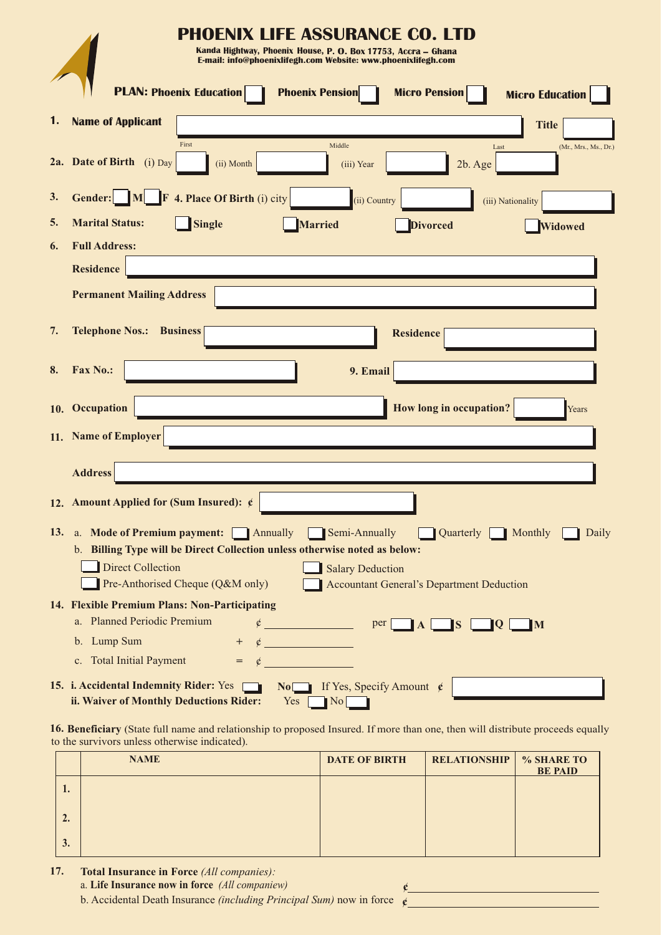|     | <b>PHOENIX LIFE ASSURANCE CO. LTD</b>                                                                                                   |  |  |
|-----|-----------------------------------------------------------------------------------------------------------------------------------------|--|--|
|     | Kanda Hightway, Phoenix House, P. O. Box 17753, Accra – Ghana<br>E-mail: info@phoenixlifegh.com Website: www.phoenixlifegh.com          |  |  |
|     |                                                                                                                                         |  |  |
|     | <b>PLAN: Phoenix Education</b><br><b>Phoenix Pension</b><br><b>Micro Pension</b><br><b>Micro Education</b>                              |  |  |
| 1.  | <b>Name of Applicant</b><br><b>Title</b>                                                                                                |  |  |
|     | First<br>Middle<br>Last<br>(Mr., Mrs., Ms., Dr.)                                                                                        |  |  |
|     | 2a. Date of Birth (i) Day<br>(ii) Month<br>2b. Age<br>(iii) Year                                                                        |  |  |
| 3.  | <b>Gender:</b> M F 4. Place Of Birth (i) city<br>(ii) Country<br>(iii) Nationality                                                      |  |  |
| 5.  | <b>Marital Status:</b><br><b>Single</b><br><b>Married</b><br><b>Divorced</b><br>Widowed                                                 |  |  |
| 6.  | <b>Full Address:</b>                                                                                                                    |  |  |
|     | <b>Residence</b>                                                                                                                        |  |  |
|     | <b>Permanent Mailing Address</b>                                                                                                        |  |  |
|     |                                                                                                                                         |  |  |
| 7.  | <b>Telephone Nos.:</b><br><b>Business</b><br><b>Residence</b>                                                                           |  |  |
| 8.  | <b>Fax No.:</b><br>9. Email                                                                                                             |  |  |
|     |                                                                                                                                         |  |  |
| 10. | How long in occupation?<br>Occupation<br>Years                                                                                          |  |  |
|     | 11. Name of Employer                                                                                                                    |  |  |
|     |                                                                                                                                         |  |  |
|     | <b>Address</b>                                                                                                                          |  |  |
|     | 12. Amount Applied for (Sum Insured): $\epsilon$                                                                                        |  |  |
|     | 13. a. Mode of Premium payment: Annually Semi-Annually<br>Quarterly Monthly<br>Daily                                                    |  |  |
|     | b. Billing Type will be Direct Collection unless otherwise noted as below:                                                              |  |  |
|     | <b>Direct Collection</b><br>Salary Deduction                                                                                            |  |  |
|     | Pre-Anthorised Cheque (Q&M only)<br><b>Accountant General's Department Deduction</b>                                                    |  |  |
|     | 14. Flexible Premium Plans: Non-Participating                                                                                           |  |  |
|     | a. Planned Periodic Premium<br>$\phi$ per $\Box$ $\mathbf{A}$ $\Box$ $\mathbf{S}$<br>$\blacksquare$<br>$\Box$ Q $\Box$                  |  |  |
|     | b. Lump Sum                                                                                                                             |  |  |
|     | c. Total Initial Payment<br>$=\phi$                                                                                                     |  |  |
|     | 15. i. Accidental Indemnity Rider: Yes $\Box$ No If Yes, Specify Amount $\oint$<br>ii. Waiver of Monthly Deductions Rider:<br>No<br>Yes |  |  |

**16. Beneficiary** (State full name and relationship to proposed Insured. If more than one, then will distribute proceeds equally to the survivors unless otherwise indicated).

|    | <b>NAME</b> | <b>DATE OF BIRTH</b> | <b>RELATIONSHIP</b> | % SHARE TO<br><b>BE PAID</b> |
|----|-------------|----------------------|---------------------|------------------------------|
| 1. |             |                      |                     |                              |
| 4. |             |                      |                     |                              |
| 3. |             |                      |                     |                              |

**¢ ¢**

**17. Total Insurance in Force** *(All companies):*

a. **Life Insurance now in force** *(All companiew)*

b. Accidental Death Insurance *(including Principal Sum)* now in force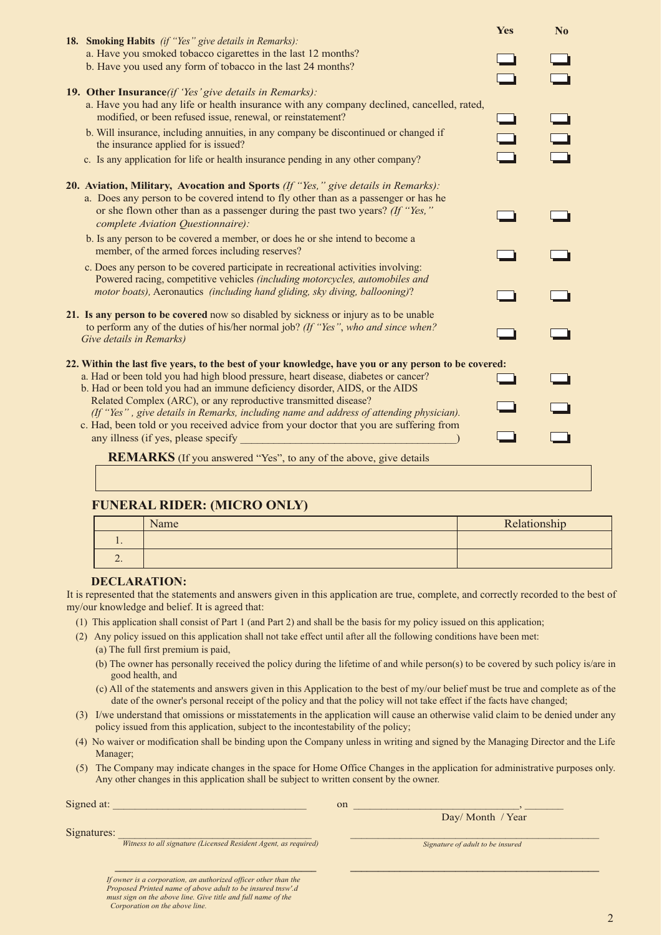| <b>18. Smoking Habits</b> (if "Yes" give details in Remarks):                                                                                                                                                                                                                                | Yes | $\mathbf{N_0}$ |
|----------------------------------------------------------------------------------------------------------------------------------------------------------------------------------------------------------------------------------------------------------------------------------------------|-----|----------------|
| a. Have you smoked tobacco cigarettes in the last 12 months?<br>b. Have you used any form of tobacco in the last 24 months?                                                                                                                                                                  |     |                |
| <b>19. Other Insurance</b> (if 'Yes' give details in Remarks):                                                                                                                                                                                                                               |     |                |
| a. Have you had any life or health insurance with any company declined, cancelled, rated,<br>modified, or been refused issue, renewal, or reinstatement?                                                                                                                                     |     |                |
| b. Will insurance, including annuities, in any company be discontinued or changed if<br>the insurance applied for is issued?                                                                                                                                                                 |     |                |
| c. Is any application for life or health insurance pending in any other company?                                                                                                                                                                                                             |     |                |
| 20. Aviation, Military, Avocation and Sports (If "Yes," give details in Remarks):<br>a. Does any person to be covered intend to fly other than as a passenger or has he<br>or she flown other than as a passenger during the past two years? (If "Yes,"<br>complete Aviation Questionnaire): |     |                |
| b. Is any person to be covered a member, or does he or she intend to become a<br>member, of the armed forces including reserves?                                                                                                                                                             |     |                |
| c. Does any person to be covered participate in recreational activities involving:<br>Powered racing, competitive vehicles (including motorcycles, automobiles and<br>motor boats), Aeronautics (including hand gliding, sky diving, ballooning)?                                            |     |                |
| 21. Is any person to be covered now so disabled by sickness or injury as to be unable<br>to perform any of the duties of his/her normal job? (If "Yes", who and since when?<br>Give details in Remarks)                                                                                      |     |                |
| 22. Within the last five years, to the best of your knowledge, have you or any person to be covered:                                                                                                                                                                                         |     |                |
| a. Had or been told you had high blood pressure, heart disease, diabetes or cancer?<br>b. Had or been told you had an immune deficiency disorder, AIDS, or the AIDS                                                                                                                          |     |                |
| Related Complex (ARC), or any reproductive transmitted disease?<br>(If "Yes", give details in Remarks, including name and address of attending physician).<br>c. Had, been told or you received advice from your doctor that you are suffering from                                          |     |                |
| any illness (if yes, please specify                                                                                                                                                                                                                                                          |     |                |
| <b>REMARKS</b> (If you answered "Yes", to any of the above, give details                                                                                                                                                                                                                     |     |                |
|                                                                                                                                                                                                                                                                                              |     |                |

## **FUNERAL RIDER: (MICRO ONLY)**

|                          | Name | Relationship |
|--------------------------|------|--------------|
| $\cdot$                  |      |              |
| $\overline{\phantom{a}}$ |      |              |

## **DECLARATION:**

It is represented that the statements and answers given in this application are true, complete, and correctly recorded to the best of my/our knowledge and belief. It is agreed that:

- (1) This application shall consist of Part 1 (and Part 2) and shall be the basis for my policy issued on this application;
- (2) Any policy issued on this application shall not take effect until after all the following conditions have been met:
	- (a) The full first premium is paid,
	- (b) The owner has personally received the policy during the lifetime of and while person(s) to be covered by such policy is/are in good health, and
	- (c) All of the statements and answers given in this Application to the best of my/our belief must be true and complete as of the date of the owner's personal receipt of the policy and that the policy will not take effect if the facts have changed;
- (3) I/we understand that omissions or misstatements in the application will cause an otherwise valid claim to be denied under any policy issued from this application, subject to the incontestability of the policy;
- (4) No waiver or modification shall be binding upon the Company unless in writing and signed by the Managing Director and the Life Manager;
- (5) The Company may indicate changes in the space for Home Office Changes in the application for administrative purposes only. Any other changes in this application shall be subject to written consent by the owner.

| Signed at:  |                                                                 | on |                                  |
|-------------|-----------------------------------------------------------------|----|----------------------------------|
|             |                                                                 |    | Day/ Month / Year                |
| Signatures: |                                                                 |    |                                  |
|             | Witness to all signature (Licensed Resident Agent, as required) |    | Signature of adult to be insured |
|             |                                                                 |    |                                  |
|             |                                                                 |    |                                  |
|             | If owner is a corporation, an authorized officer other than the |    |                                  |

*If owner is a corporation, an authorized officer other than the Proposed Printed name of above adult to be insured tnsw'.d must sign on the above line. Give title and full name of the Corporation on the above line.*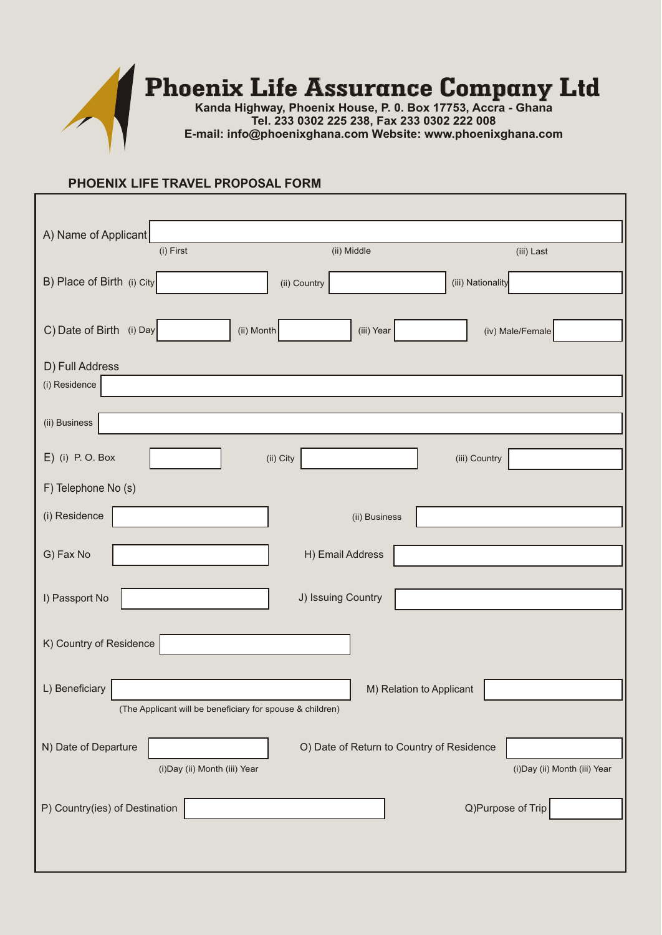

## **PHOENIX LIFE TRAVEL PROPOSAL FORM**

| A) Name of Applicant                                                     |
|--------------------------------------------------------------------------|
| (ii) Middle<br>(i) First<br>(iii) Last                                   |
| B) Place of Birth (i) City<br>(iii) Nationality<br>(ii) Country          |
|                                                                          |
| C) Date of Birth (i) Day<br>(ii) Month<br>(iii) Year<br>(iv) Male/Female |
| D) Full Address                                                          |
| (i) Residence                                                            |
| (ii) Business                                                            |
| $E)$ (i) P.O. Box<br>(ii) City<br>(iii) Country                          |
| F) Telephone No (s)                                                      |
| (i) Residence<br>(ii) Business                                           |
| G) Fax No<br>H) Email Address                                            |
|                                                                          |
| I) Passport No<br>J) Issuing Country                                     |
| K) Country of Residence                                                  |
|                                                                          |
| L) Beneficiary<br>M) Relation to Applicant                               |
| (The Applicant will be beneficiary for spouse & children)                |
| N) Date of Departure<br>O) Date of Return to Country of Residence        |
| (i)Day (ii) Month (iii) Year<br>(i) Day (ii) Month (iii) Year            |
| Q)Purpose of Trip<br>P) Country(ies) of Destination                      |
|                                                                          |
|                                                                          |